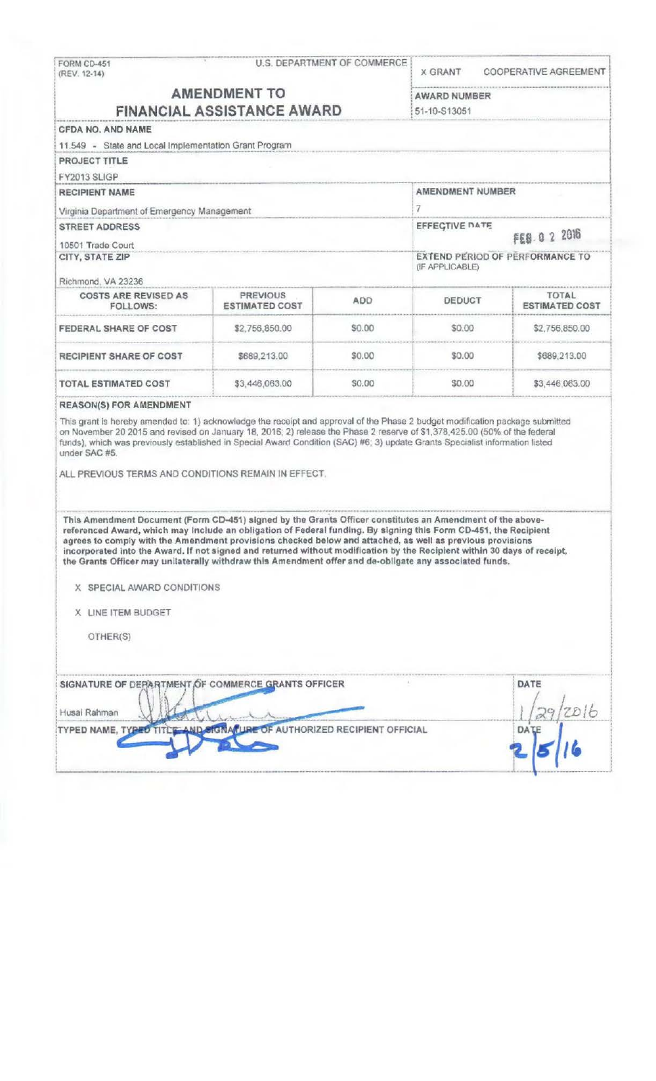| (REV. 12-14)                                                                                                                                                                                                                                                                                                                                                                                                                                                                                                                                                                                                                                                                                                                                                                                                                                                                                                                                         | <b>U.S. DEPARTMENT OF COMMERCE</b><br>FORM CD-451 |        | <b>X GRANT</b>                                                                                                                | <b>COOPERATIVE AGREEMENT</b>          |
|------------------------------------------------------------------------------------------------------------------------------------------------------------------------------------------------------------------------------------------------------------------------------------------------------------------------------------------------------------------------------------------------------------------------------------------------------------------------------------------------------------------------------------------------------------------------------------------------------------------------------------------------------------------------------------------------------------------------------------------------------------------------------------------------------------------------------------------------------------------------------------------------------------------------------------------------------|---------------------------------------------------|--------|-------------------------------------------------------------------------------------------------------------------------------|---------------------------------------|
| <b>AMENDMENT TO</b><br><b>FINANCIAL ASSISTANCE AWARD</b>                                                                                                                                                                                                                                                                                                                                                                                                                                                                                                                                                                                                                                                                                                                                                                                                                                                                                             |                                                   |        | AWARD NUMBER<br>51-10-S13051                                                                                                  |                                       |
|                                                                                                                                                                                                                                                                                                                                                                                                                                                                                                                                                                                                                                                                                                                                                                                                                                                                                                                                                      |                                                   |        |                                                                                                                               |                                       |
| 11.549 - State and Local Implementation Grant Program                                                                                                                                                                                                                                                                                                                                                                                                                                                                                                                                                                                                                                                                                                                                                                                                                                                                                                |                                                   |        |                                                                                                                               |                                       |
| PROJECT TITLE                                                                                                                                                                                                                                                                                                                                                                                                                                                                                                                                                                                                                                                                                                                                                                                                                                                                                                                                        |                                                   |        |                                                                                                                               |                                       |
| FY2013 SLIGP                                                                                                                                                                                                                                                                                                                                                                                                                                                                                                                                                                                                                                                                                                                                                                                                                                                                                                                                         |                                                   |        |                                                                                                                               |                                       |
| <b>RECIPIENT NAME</b>                                                                                                                                                                                                                                                                                                                                                                                                                                                                                                                                                                                                                                                                                                                                                                                                                                                                                                                                |                                                   |        | AMENDMENT NUMBER                                                                                                              |                                       |
| Virginia Department of Emergency Management                                                                                                                                                                                                                                                                                                                                                                                                                                                                                                                                                                                                                                                                                                                                                                                                                                                                                                          |                                                   |        | 7                                                                                                                             |                                       |
| <b>STREET ADDRESS</b>                                                                                                                                                                                                                                                                                                                                                                                                                                                                                                                                                                                                                                                                                                                                                                                                                                                                                                                                |                                                   |        | <b>EFFECTIVE DATE</b><br>FEB 0 2 2016                                                                                         |                                       |
| 10501 Trade Court                                                                                                                                                                                                                                                                                                                                                                                                                                                                                                                                                                                                                                                                                                                                                                                                                                                                                                                                    |                                                   |        | <b>EXTEND PERIOD OF PERFORMANCE TO</b><br>(IF APPLICABLE)                                                                     |                                       |
| CITY, STATE ZIP                                                                                                                                                                                                                                                                                                                                                                                                                                                                                                                                                                                                                                                                                                                                                                                                                                                                                                                                      |                                                   |        |                                                                                                                               |                                       |
| Richmond, VA 23236                                                                                                                                                                                                                                                                                                                                                                                                                                                                                                                                                                                                                                                                                                                                                                                                                                                                                                                                   |                                                   |        |                                                                                                                               |                                       |
| <b>COSTS ARE REVISED AS</b><br>FOLLOWS:                                                                                                                                                                                                                                                                                                                                                                                                                                                                                                                                                                                                                                                                                                                                                                                                                                                                                                              | <b>PREVIOUS</b><br><b>ESTIMATED COST</b>          | ADD    | DEDUCT                                                                                                                        | <b>TOTAL</b><br><b>ESTIMATED COST</b> |
| FEDERAL SHARE OF COST                                                                                                                                                                                                                                                                                                                                                                                                                                                                                                                                                                                                                                                                                                                                                                                                                                                                                                                                | \$2,756,850.00                                    | \$0.00 | \$0.00                                                                                                                        | \$2,756,850.00                        |
| RECIPIENT SHARE OF COST                                                                                                                                                                                                                                                                                                                                                                                                                                                                                                                                                                                                                                                                                                                                                                                                                                                                                                                              | \$689,213.00                                      | \$0.00 | \$0.00                                                                                                                        | \$689,213.00                          |
| <b>TOTAL ESTIMATED COST</b>                                                                                                                                                                                                                                                                                                                                                                                                                                                                                                                                                                                                                                                                                                                                                                                                                                                                                                                          | \$3,446,063.00                                    | \$0.00 | \$0.00                                                                                                                        | \$3,446,063.00                        |
|                                                                                                                                                                                                                                                                                                                                                                                                                                                                                                                                                                                                                                                                                                                                                                                                                                                                                                                                                      |                                                   |        | This grant is hereby amended to: 1) acknowledge the receipt and approval of the Phase 2 budget modification package submitted |                                       |
| on November 20 2015 and revised on January 18, 2016; 2) release the Phase 2 reserve of \$1,378,425.00 (50% of the federal<br>funds), which was previously established in Special Award Condition (SAC) #6; 3) update Grants Specialist information listed<br>under SAC #5.<br>ALL PREVIOUS TERMS AND CONDITIONS REMAIN IN EFFECT.<br>This Amendment Document (Form CD-451) signed by the Grants Officer constitutes an Amendment of the above-<br>referenced Award, which may include an obligation of Federal funding. By signing this Form CD-451, the Recipient<br>agrees to comply with the Amendment provisions checked below and attached, as well as previous provisions<br>incorporated into the Award. If not signed and returned without modification by the Recipient within 30 days of receipt,<br>the Grants Officer may unilaterally withdraw this Amendment offer and de-obligate any associated funds.<br>X SPECIAL AWARD CONDITIONS |                                                   |        |                                                                                                                               |                                       |
| X LINE ITEM BUDGET                                                                                                                                                                                                                                                                                                                                                                                                                                                                                                                                                                                                                                                                                                                                                                                                                                                                                                                                   |                                                   |        |                                                                                                                               |                                       |
| OTHER(S)                                                                                                                                                                                                                                                                                                                                                                                                                                                                                                                                                                                                                                                                                                                                                                                                                                                                                                                                             |                                                   |        |                                                                                                                               |                                       |